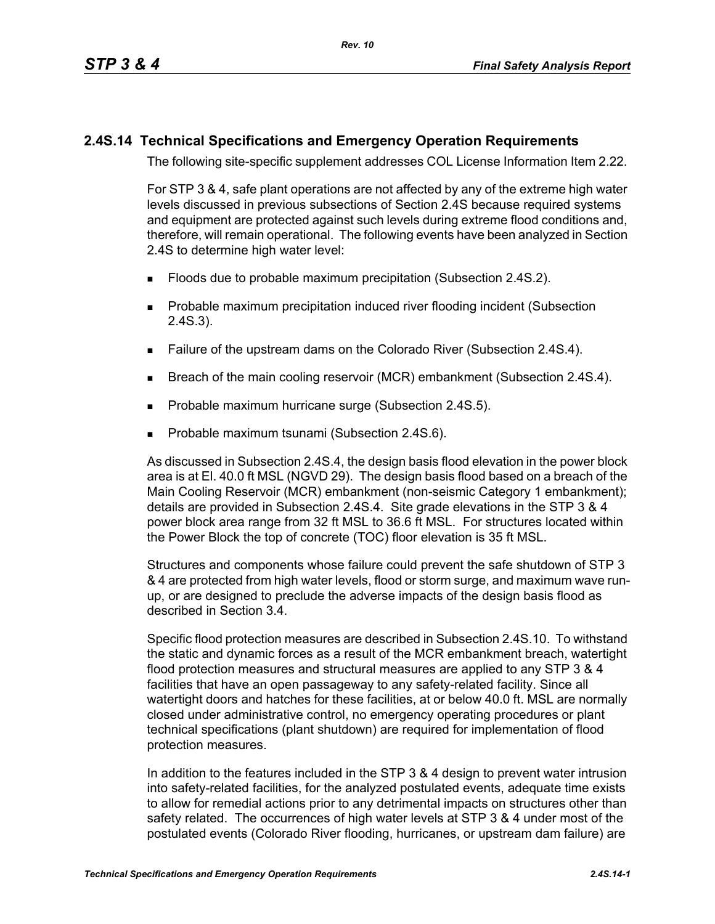## **2.4S.14 Technical Specifications and Emergency Operation Requirements**

The following site-specific supplement addresses COL License Information Item 2.22.

For STP 3 & 4, safe plant operations are not affected by any of the extreme high water levels discussed in previous subsections of Section 2.4S because required systems and equipment are protected against such levels during extreme flood conditions and, therefore, will remain operational. The following events have been analyzed in Section 2.4S to determine high water level:

- **Floods due to probable maximum precipitation (Subsection 2.4S.2).**
- **Probable maximum precipitation induced river flooding incident (Subsection** 2.4S.3).
- Failure of the upstream dams on the Colorado River (Subsection 2.4S.4).
- **Breach of the main cooling reservoir (MCR) embankment (Subsection 2.4S.4).**
- **Probable maximum hurricane surge (Subsection 2.4S.5).**
- Probable maximum tsunami (Subsection 2.4S.6).

As discussed in Subsection 2.4S.4, the design basis flood elevation in the power block area is at El. 40.0 ft MSL (NGVD 29). The design basis flood based on a breach of the Main Cooling Reservoir (MCR) embankment (non-seismic Category 1 embankment); details are provided in Subsection 2.4S.4. Site grade elevations in the STP 3 & 4 power block area range from 32 ft MSL to 36.6 ft MSL. For structures located within the Power Block the top of concrete (TOC) floor elevation is 35 ft MSL.

Structures and components whose failure could prevent the safe shutdown of STP 3 & 4 are protected from high water levels, flood or storm surge, and maximum wave runup, or are designed to preclude the adverse impacts of the design basis flood as described in Section 3.4.

Specific flood protection measures are described in Subsection 2.4S.10. To withstand the static and dynamic forces as a result of the MCR embankment breach, watertight flood protection measures and structural measures are applied to any STP 3 & 4 facilities that have an open passageway to any safety-related facility. Since all watertight doors and hatches for these facilities, at or below 40.0 ft. MSL are normally closed under administrative control, no emergency operating procedures or plant technical specifications (plant shutdown) are required for implementation of flood protection measures.

In addition to the features included in the STP 3 & 4 design to prevent water intrusion into safety-related facilities, for the analyzed postulated events, adequate time exists to allow for remedial actions prior to any detrimental impacts on structures other than safety related. The occurrences of high water levels at STP 3 & 4 under most of the postulated events (Colorado River flooding, hurricanes, or upstream dam failure) are